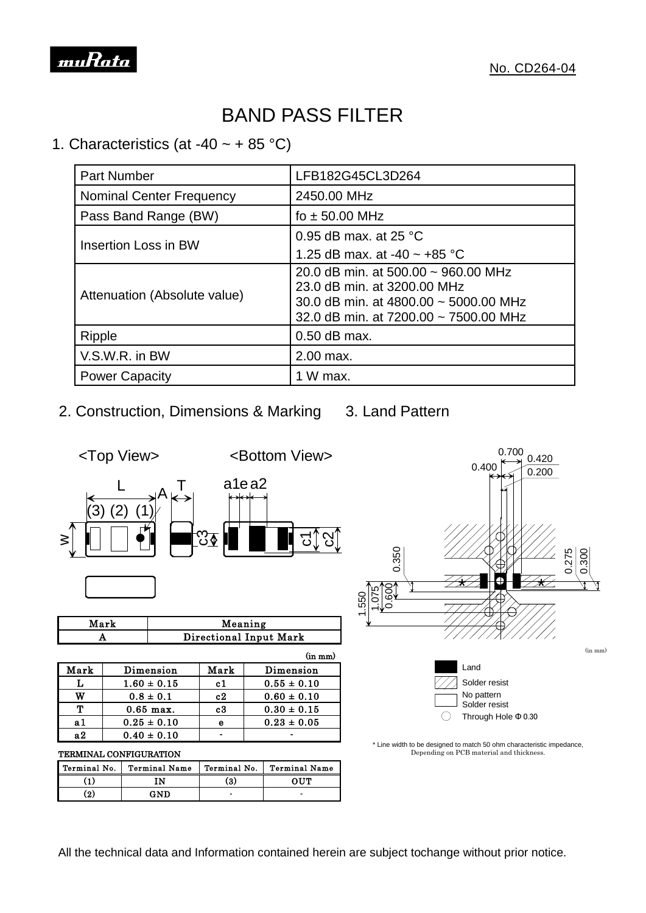

## BAND PASS FILTER

### 1. Characteristics (at -40  $\sim$  + 85 °C)

| <b>Part Number</b>              | LFB182G45CL3D264                                                                                                                                          |  |  |
|---------------------------------|-----------------------------------------------------------------------------------------------------------------------------------------------------------|--|--|
| <b>Nominal Center Frequency</b> | 2450.00 MHz                                                                                                                                               |  |  |
| Pass Band Range (BW)            | fo $\pm$ 50.00 MHz                                                                                                                                        |  |  |
|                                 | 0.95 dB max. at 25 $^{\circ}$ C                                                                                                                           |  |  |
| Insertion Loss in BW            | 1.25 dB max. at -40 $\sim$ +85 °C                                                                                                                         |  |  |
| Attenuation (Absolute value)    | 20.0 dB min. at $500.00 \sim 960.00$ MHz<br>23.0 dB min. at 3200.00 MHz<br>30.0 dB min. at 4800.00 ~ 5000.00 MHz<br>32.0 dB min. at 7200.00 ~ 7500.00 MHz |  |  |
| <b>Ripple</b>                   | $0.50$ dB max.                                                                                                                                            |  |  |
| V.S.W.R. in BW                  | 2.00 max.                                                                                                                                                 |  |  |
| <b>Power Capacity</b>           | 1 W max.                                                                                                                                                  |  |  |

2. Construction, Dimensions & Marking 3. Land Pattern



| Mark | Meaning                |  |
|------|------------------------|--|
|      | Directional Input Mark |  |
|      |                        |  |

|      | A<br>Directional Input Mary |         |                 |  |
|------|-----------------------------|---------|-----------------|--|
|      |                             |         | $(in \, mm)$    |  |
| Mark | Dimension                   | Mark    | Dimension       |  |
|      | $1.60 \pm 0.15$             | c1      | $0.55 \pm 0.10$ |  |
| w    | $0.8 \pm 0.1$               | c2      | $0.60 \pm 0.10$ |  |
| ጥ    | $0.65$ max.                 | $_{c3}$ | $0.30 \pm 0.15$ |  |
| a 1  | $0.25 \pm 0.10$             | e       | $0.23 \pm 0.05$ |  |
| я2   | $0.40 \pm 0.10$             |         |                 |  |
|      |                             |         |                 |  |

#### TERMINAL CONFIGURATION

| <b>TERMINAL CONFIGURATION</b> |                      |              |                      |  |  |  |  |
|-------------------------------|----------------------|--------------|----------------------|--|--|--|--|
| Terminal No.                  | <b>Terminal Name</b> | Terminal No. | <b>Terminal Name</b> |  |  |  |  |
| ้1)                           | TΝ                   | (3)          | OUT                  |  |  |  |  |
| (2)                           | GND                  |              | -                    |  |  |  |  |



<sup>\*</sup> Line width to be designed to match 50 ohm characteristic impedance, Depending on PCB material and thickness.

 $\bigcirc$ 

Solder resist

Through Hole Φ 0.30

All the technical data and Information contained herein are subject tochange without prior notice.